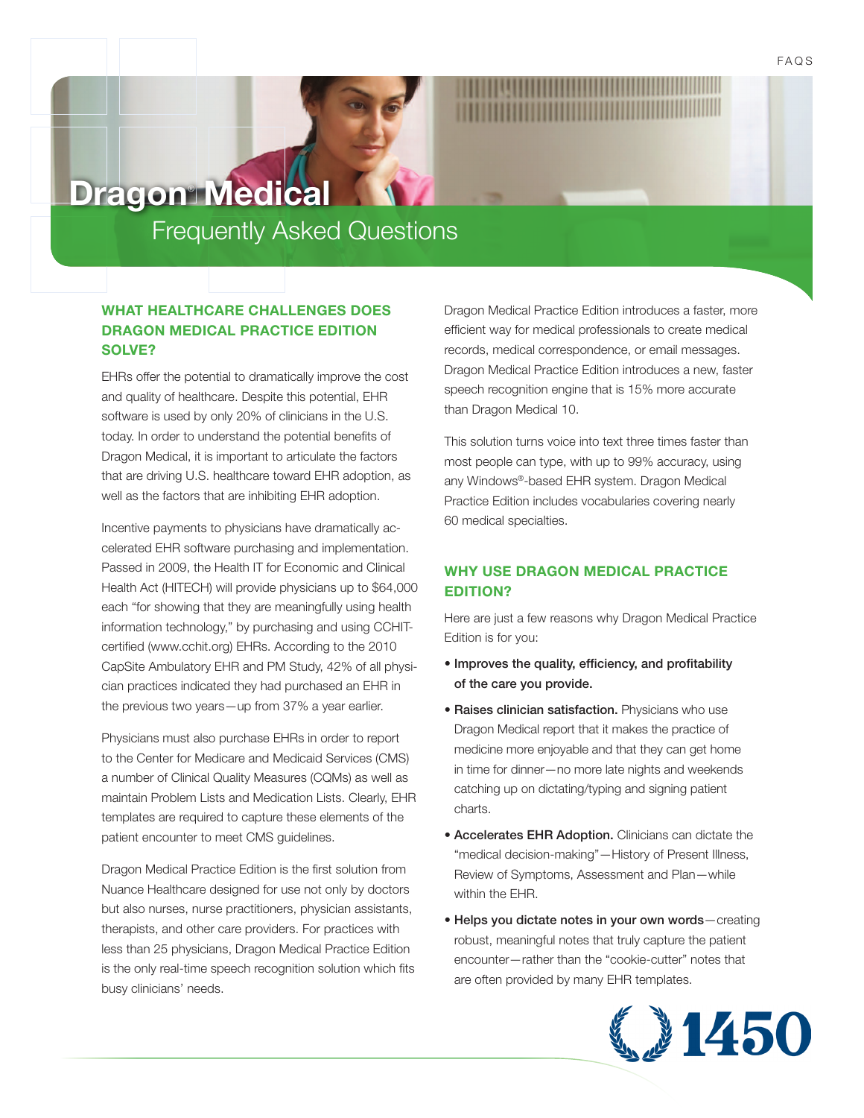# **Dragon**®  **Medical**

## Frequently Asked Questions

## **WHAT HEALTHCARE CHALLENGES DOES DRAGON MEDICAL PRACTICE EDITION SOLVE?**

EHRs offer the potential to dramatically improve the cost and quality of healthcare. Despite this potential, EHR software is used by only 20% of clinicians in the U.S. today. In order to understand the potential benefits of Dragon Medical, it is important to articulate the factors that are driving U.S. healthcare toward EHR adoption, as well as the factors that are inhibiting EHR adoption.

Incentive payments to physicians have dramatically accelerated EHR software purchasing and implementation. Passed in 2009, the Health IT for Economic and Clinical Health Act (HITECH) will provide physicians up to \$64,000 each "for showing that they are meaningfully using health information technology," by purchasing and using CCHITcertified (www.cchit.org) EHRs. According to the 2010 CapSite Ambulatory EHR and PM Study, 42% of all physician practices indicated they had purchased an EHR in the previous two years—up from 37% a year earlier.

Physicians must also purchase EHRs in order to report to the Center for Medicare and Medicaid Services (CMS) a number of Clinical Quality Measures (CQMs) as well as maintain Problem Lists and Medication Lists. Clearly, EHR templates are required to capture these elements of the patient encounter to meet CMS guidelines.

Dragon Medical Practice Edition is the first solution from Nuance Healthcare designed for use not only by doctors but also nurses, nurse practitioners, physician assistants, therapists, and other care providers. For practices with less than 25 physicians, Dragon Medical Practice Edition is the only real-time speech recognition solution which fits busy clinicians' needs.

Dragon Medical Practice Edition introduces a faster, more efficient way for medical professionals to create medical records, medical correspondence, or email messages. Dragon Medical Practice Edition introduces a new, faster speech recognition engine that is 15% more accurate than Dragon Medical 10.

This solution turns voice into text three times faster than most people can type, with up to 99% accuracy, using any Windows®-based EHR system. Dragon Medical Practice Edition includes vocabularies covering nearly 60 medical specialties.

## **WHY USE DRAGON MEDICAL PRACTICE EDITION?**

Here are just a few reasons why Dragon Medical Practice Edition is for you:

- Improves the quality, efficiency, and profitability of the care you provide.
- Raises clinician satisfaction. Physicians who use Dragon Medical report that it makes the practice of medicine more enjoyable and that they can get home in time for dinner—no more late nights and weekends catching up on dictating/typing and signing patient charts.
- Accelerates EHR Adoption. Clinicians can dictate the "medical decision-making"—History of Present Illness, Review of Symptoms, Assessment and Plan—while within the EHR.
- Helps you dictate notes in your own words—creating robust, meaningful notes that truly capture the patient encounter—rather than the "cookie-cutter" notes that are often provided by many EHR templates.

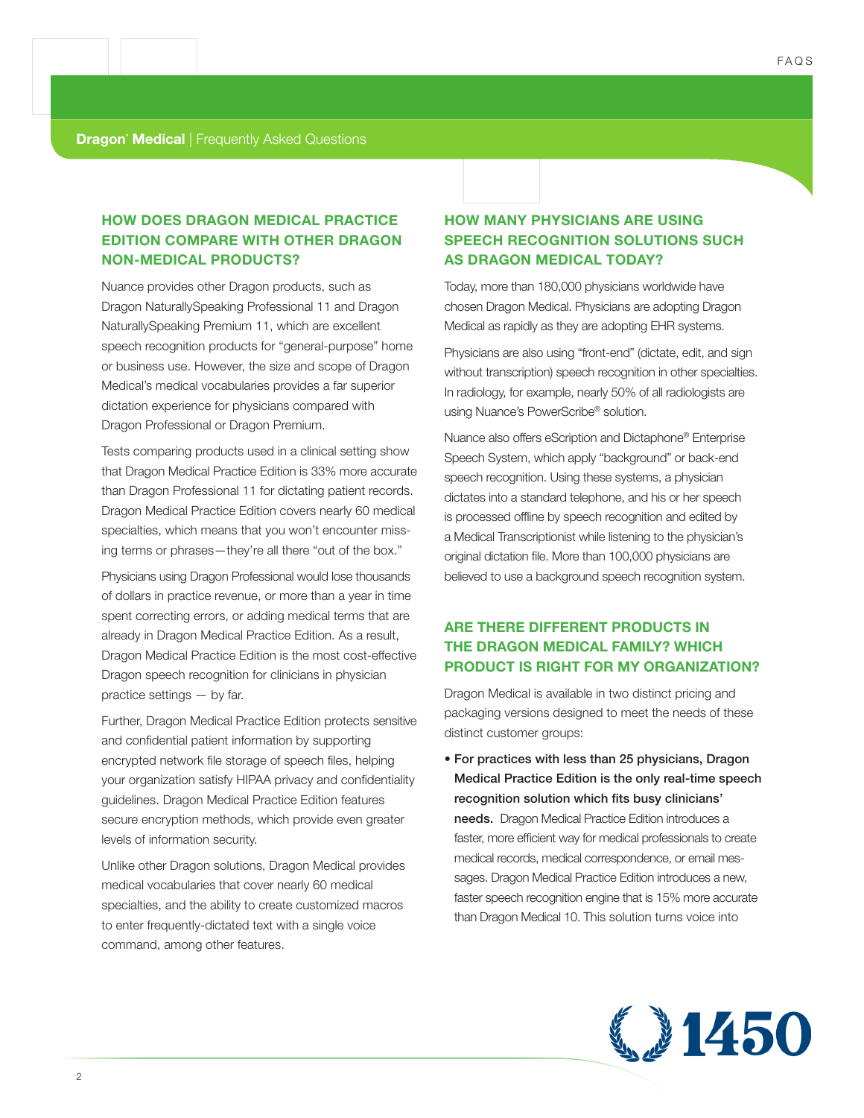## **HOW DOES DRAGON MEDICAL PRACTICE EDITION COMPARE WITH OTHER DRAGON NON-MEDICAL PRODUCTS?**

Nuance provides other Dragon products, such as Dragon NaturallySpeaking Professional 11 and Dragon NaturallySpeaking Premium 11, which are excellent speech recognition products for "general-purpose" home or business use. However, the size and scope of Dragon Medical's medical vocabularies provides a far superior dictation experience for physicians compared with Dragon Professional or Dragon Premium.

Tests comparing products used in a clinical setting show that Dragon Medical Practice Edition is 33% more accurate than Dragon Professional 11 for dictating patient records. Dragon Medical Practice Edition covers nearly 60 medical specialties, which means that you won't encounter missing terms or phrases—they're all there "out of the box."

Physicians using Dragon Professional would lose thousands of dollars in practice revenue, or more than a year in time spent correcting errors, or adding medical terms that are already in Dragon Medical Practice Edition. As a result, Dragon Medical Practice Edition is the most cost-effective Dragon speech recognition for clinicians in physician practice settings — by far.

Further, Dragon Medical Practice Edition protects sensitive and confidential patient information by supporting encrypted network file storage of speech files, helping your organization satisfy HIPAA privacy and confidentiality guidelines. Dragon Medical Practice Edition features secure encryption methods, which provide even greater levels of information security.

Unlike other Dragon solutions, Dragon Medical provides medical vocabularies that cover nearly 60 medical specialties, and the ability to create customized macros to enter frequently-dictated text with a single voice command, among other features.

## **HOW MANY PHYSICIANS ARE USING SPEECH RECOGNITION SOLUTIONS SUCH AS DRAGON MEDICAL TODAY?**

Today, more than 180,000 physicians worldwide have chosen Dragon Medical. Physicians are adopting Dragon Medical as rapidly as they are adopting EHR systems.

Physicians are also using "front-end" (dictate, edit, and sign without transcription) speech recognition in other specialties. In radiology, for example, nearly 50% of all radiologists are using Nuance's PowerScribe® solution.

Nuance also offers eScription and Dictaphone® Enterprise Speech System, which apply "background" or back-end speech recognition. Using these systems, a physician dictates into a standard telephone, and his or her speech is processed offline by speech recognition and edited by a Medical Transcriptionist while listening to the physician's original dictation file. More than 100,000 physicians are believed to use a background speech recognition system.

## **ARE THERE DIFFERENT PRODUCTS IN THE DRAGON MEDICAL FAMILY? WHICH PRODUCT IS RIGHT FOR MY ORGANIZATION?**

Dragon Medical is available in two distinct pricing and packaging versions designed to meet the needs of these distinct customer groups:

• For practices with less than 25 physicians, Dragon Medical Practice Edition is the only real-time speech recognition solution which fits busy clinicians' needs. Dragon Medical Practice Edition introduces a faster, more efficient way for medical professionals to create medical records, medical correspondence, or email messages. Dragon Medical Practice Edition introduces a new, faster speech recognition engine that is 15% more accurate than Dragon Medical 10. This solution turns voice into

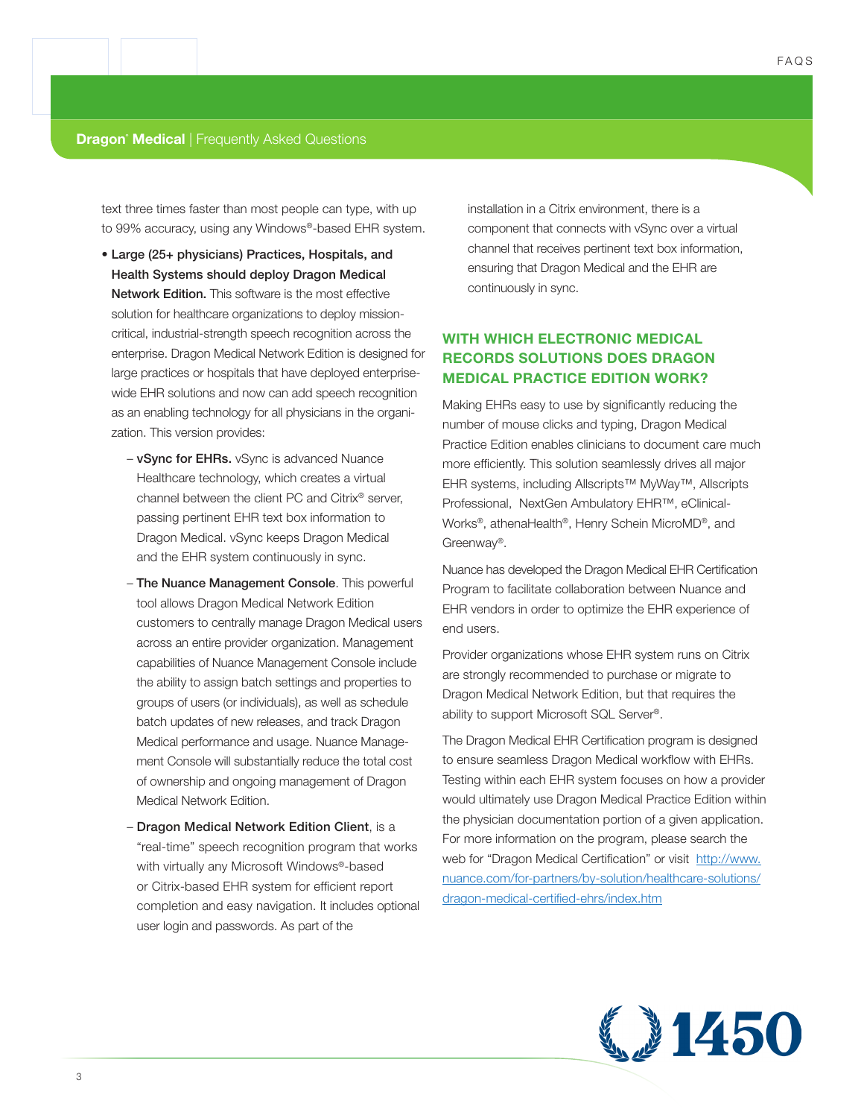text three times faster than most people can type, with up to 99% accuracy, using any Windows®-based EHR system.

- Large (25+ physicians) Practices, Hospitals, and Health Systems should deploy Dragon Medical Network Edition. This software is the most effective solution for healthcare organizations to deploy missioncritical, industrial-strength speech recognition across the enterprise. Dragon Medical Network Edition is designed for large practices or hospitals that have deployed enterprisewide EHR solutions and now can add speech recognition as an enabling technology for all physicians in the organization. This version provides:
	- vSync for EHRs. vSync is advanced Nuance Healthcare technology, which creates a virtual channel between the client PC and Citrix® server, passing pertinent EHR text box information to Dragon Medical. vSync keeps Dragon Medical and the EHR system continuously in sync.
	- The Nuance Management Console. This powerful tool allows Dragon Medical Network Edition customers to centrally manage Dragon Medical users across an entire provider organization. Management capabilities of Nuance Management Console include the ability to assign batch settings and properties to groups of users (or individuals), as well as schedule batch updates of new releases, and track Dragon Medical performance and usage. Nuance Management Console will substantially reduce the total cost of ownership and ongoing management of Dragon Medical Network Edition.
	- Dragon Medical Network Edition Client, is a "real-time" speech recognition program that works with virtually any Microsoft Windows®-based or Citrix-based EHR system for efficient report completion and easy navigation. It includes optional user login and passwords. As part of the

installation in a Citrix environment, there is a component that connects with vSync over a virtual channel that receives pertinent text box information, ensuring that Dragon Medical and the EHR are continuously in sync.

## **WITH WHICH ELECTRONIC MEDICAL RECORDS SOLUTIONS DOES DRAGON MEDICAL PRACTICE EDITION WORK?**

Making EHRs easy to use by significantly reducing the number of mouse clicks and typing, Dragon Medical Practice Edition enables clinicians to document care much more efficiently. This solution seamlessly drives all major EHR systems, including Allscripts™ MyWay™, Allscripts Professional, NextGen Ambulatory EHR™, eClinical-Works®, athenaHealth®, Henry Schein MicroMD®, and Greenway®.

Nuance has developed the Dragon Medical EHR Certification Program to facilitate collaboration between Nuance and EHR vendors in order to optimize the EHR experience of end users.

Provider organizations whose EHR system runs on Citrix are strongly recommended to purchase or migrate to Dragon Medical Network Edition, but that requires the ability to support Microsoft SQL Server®.

The Dragon Medical EHR Certification program is designed to ensure seamless Dragon Medical workflow with EHRs. Testing within each EHR system focuses on how a provider would ultimately use Dragon Medical Practice Edition within the physician documentation portion of a given application. For more information on the program, please search the web for "Dragon Medical Certification" or visit http://www. nuance.com/for-partners/by-solution/healthcare-solutions/ dragon-medical-certified-ehrs/index.htm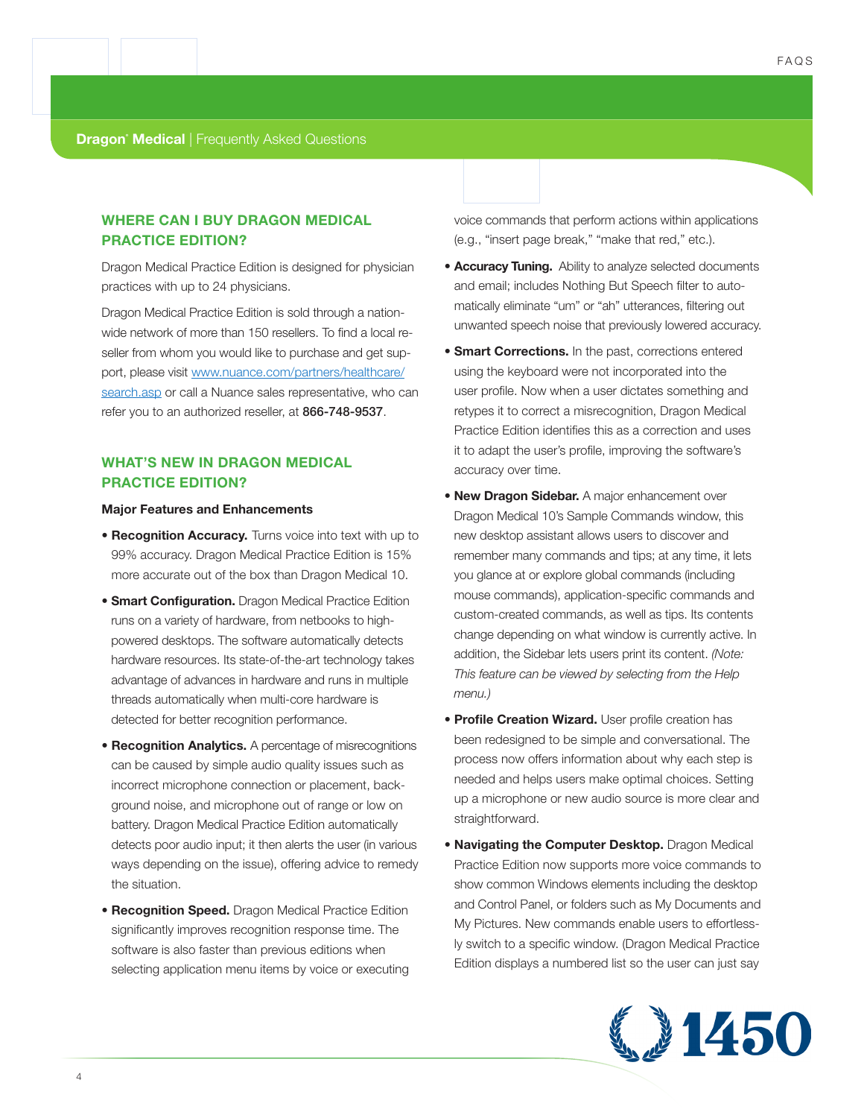## **WHERE CAN I BUY DRAGON MEDICAL PRACTICE EDITION?**

Dragon Medical Practice Edition is designed for physician practices with up to 24 physicians.

Dragon Medical Practice Edition is sold through a nationwide network of more than 150 resellers. To find a local reseller from whom you would like to purchase and get support, please visit www.nuance.com/partners/healthcare/ search.asp or call a Nuance sales representative, who can refer you to an authorized reseller, at 866-748-9537.

### **WHAT'S NEW IN DRAGON MEDICAL PRACTICE EDITION?**

#### **Major Features and Enhancements**

- **Recognition Accuracy.** Turns voice into text with up to 99% accuracy. Dragon Medical Practice Edition is 15% more accurate out of the box than Dragon Medical 10.
- **Smart Configuration.** Dragon Medical Practice Edition runs on a variety of hardware, from netbooks to highpowered desktops. The software automatically detects hardware resources. Its state-of-the-art technology takes advantage of advances in hardware and runs in multiple threads automatically when multi-core hardware is detected for better recognition performance.
- **Recognition Analytics.** A percentage of misrecognitions can be caused by simple audio quality issues such as incorrect microphone connection or placement, background noise, and microphone out of range or low on battery. Dragon Medical Practice Edition automatically detects poor audio input; it then alerts the user (in various ways depending on the issue), offering advice to remedy the situation.
- **Recognition Speed.** Dragon Medical Practice Edition significantly improves recognition response time. The software is also faster than previous editions when selecting application menu items by voice or executing

voice commands that perform actions within applications (e.g., "insert page break," "make that red," etc.).

- **Accuracy Tuning.** Ability to analyze selected documents and email; includes Nothing But Speech filter to automatically eliminate "um" or "ah" utterances, filtering out unwanted speech noise that previously lowered accuracy.
- **Smart Corrections.** In the past, corrections entered using the keyboard were not incorporated into the user profile. Now when a user dictates something and retypes it to correct a misrecognition, Dragon Medical Practice Edition identifies this as a correction and uses it to adapt the user's profile, improving the software's accuracy over time.
- **New Dragon Sidebar.** A major enhancement over Dragon Medical 10's Sample Commands window, this new desktop assistant allows users to discover and remember many commands and tips; at any time, it lets you glance at or explore global commands (including mouse commands), application-specific commands and custom-created commands, as well as tips. Its contents change depending on what window is currently active. In addition, the Sidebar lets users print its content. *(Note: This feature can be viewed by selecting from the Help menu.)*
- **Profile Creation Wizard.** User profile creation has been redesigned to be simple and conversational. The process now offers information about why each step is needed and helps users make optimal choices. Setting up a microphone or new audio source is more clear and straightforward.
- **Navigating the Computer Desktop.** Dragon Medical Practice Edition now supports more voice commands to show common Windows elements including the desktop and Control Panel, or folders such as My Documents and My Pictures. New commands enable users to effortlessly switch to a specific window. (Dragon Medical Practice Edition displays a numbered list so the user can just say

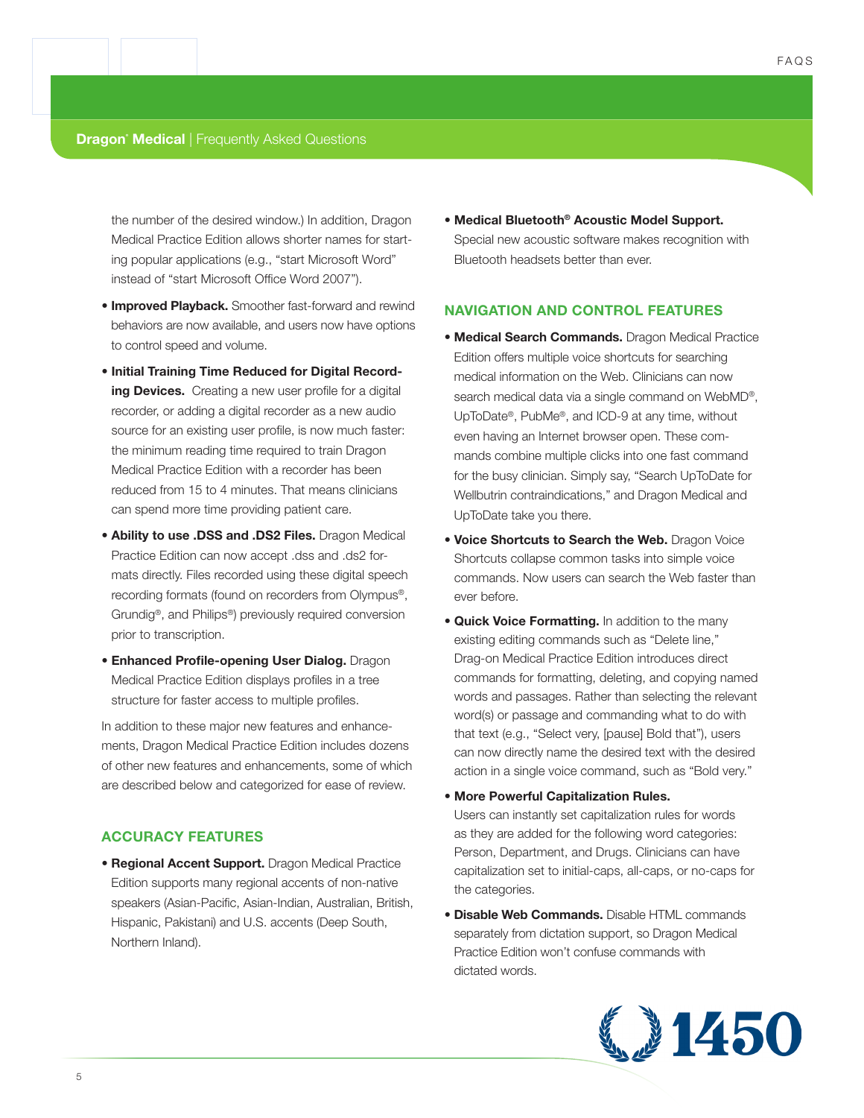the number of the desired window.) In addition, Dragon Medical Practice Edition allows shorter names for starting popular applications (e.g., "start Microsoft Word" instead of "start Microsoft Office Word 2007").

- **Improved Playback.** Smoother fast-forward and rewind behaviors are now available, and users now have options to control speed and volume.
- **Initial Training Time Reduced for Digital Recording Devices.** Creating a new user profile for a digital recorder, or adding a digital recorder as a new audio source for an existing user profile, is now much faster: the minimum reading time required to train Dragon Medical Practice Edition with a recorder has been reduced from 15 to 4 minutes. That means clinicians can spend more time providing patient care.
- **Ability to use .DSS and .DS2 Files.** Dragon Medical Practice Edition can now accept .dss and .ds2 formats directly. Files recorded using these digital speech recording formats (found on recorders from Olympus®, Grundig®, and Philips®) previously required conversion prior to transcription.
- **Enhanced Profile-opening User Dialog.** Dragon Medical Practice Edition displays profiles in a tree structure for faster access to multiple profiles.

In addition to these major new features and enhancements, Dragon Medical Practice Edition includes dozens of other new features and enhancements, some of which are described below and categorized for ease of review.

#### **ACCURACY FEATURES**

**• Regional Accent Support.** Dragon Medical Practice Edition supports many regional accents of non-native speakers (Asian-Pacific, Asian-Indian, Australian, British, Hispanic, Pakistani) and U.S. accents (Deep South, Northern Inland).

**• Medical Bluetooth® Acoustic Model Support.** Special new acoustic software makes recognition with Bluetooth headsets better than ever.

#### **NAVIGATION AND CONTROL FEATURES**

- **Medical Search Commands.** Dragon Medical Practice Edition offers multiple voice shortcuts for searching medical information on the Web. Clinicians can now search medical data via a single command on WebMD®, UpToDate®, PubMe®, and ICD-9 at any time, without even having an Internet browser open. These commands combine multiple clicks into one fast command for the busy clinician. Simply say, "Search UpToDate for Wellbutrin contraindications," and Dragon Medical and UpToDate take you there.
- **Voice Shortcuts to Search the Web.** Dragon Voice Shortcuts collapse common tasks into simple voice commands. Now users can search the Web faster than ever before.
- **Quick Voice Formatting.** In addition to the many existing editing commands such as "Delete line," Drag-on Medical Practice Edition introduces direct commands for formatting, deleting, and copying named words and passages. Rather than selecting the relevant word(s) or passage and commanding what to do with that text (e.g., "Select very, [pause] Bold that"), users can now directly name the desired text with the desired action in a single voice command, such as "Bold very."
- **More Powerful Capitalization Rules.**  Users can instantly set capitalization rules for words as they are added for the following word categories: Person, Department, and Drugs. Clinicians can have capitalization set to initial-caps, all-caps, or no-caps for the categories.
- **Disable Web Commands.** Disable HTML commands separately from dictation support, so Dragon Medical Practice Edition won't confuse commands with dictated words.

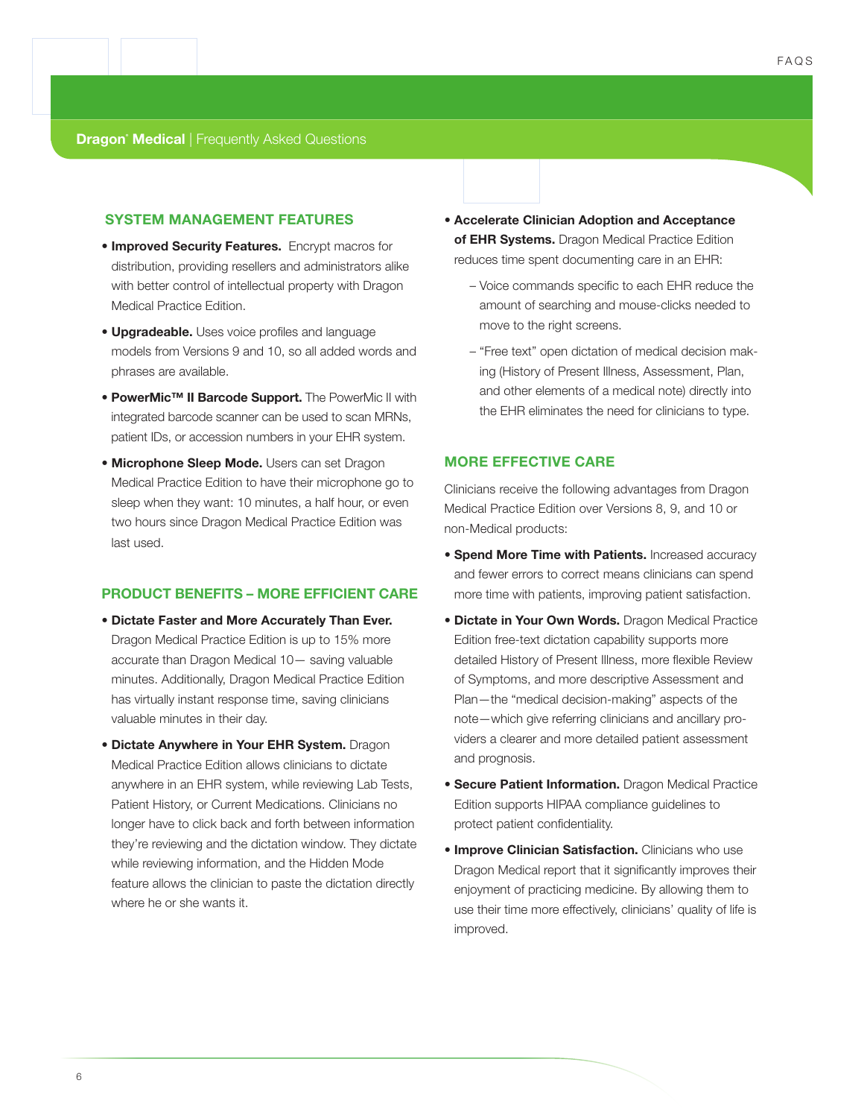#### **SYSTEM MANAGEMENT FEATURES**

- **Improved Security Features.** Encrypt macros for distribution, providing resellers and administrators alike with better control of intellectual property with Dragon Medical Practice Edition.
- **Upgradeable.** Uses voice profiles and language models from Versions 9 and 10, so all added words and phrases are available.
- **PowerMic™ II Barcode Support.** The PowerMic II with integrated barcode scanner can be used to scan MRNs, patient IDs, or accession numbers in your EHR system.
- **Microphone Sleep Mode.** Users can set Dragon Medical Practice Edition to have their microphone go to sleep when they want: 10 minutes, a half hour, or even two hours since Dragon Medical Practice Edition was last used.

#### **PRODUCT BENEFITS – MORE EFFICIENT CARE**

- **Dictate Faster and More Accurately Than Ever.** Dragon Medical Practice Edition is up to 15% more accurate than Dragon Medical 10— saving valuable minutes. Additionally, Dragon Medical Practice Edition has virtually instant response time, saving clinicians valuable minutes in their day.
- **Dictate Anywhere in Your EHR System.** Dragon Medical Practice Edition allows clinicians to dictate anywhere in an EHR system, while reviewing Lab Tests, Patient History, or Current Medications. Clinicians no longer have to click back and forth between information they're reviewing and the dictation window. They dictate while reviewing information, and the Hidden Mode feature allows the clinician to paste the dictation directly where he or she wants it.
- **Accelerate Clinician Adoption and Acceptance of EHR Systems.** Dragon Medical Practice Edition reduces time spent documenting care in an EHR:
	- Voice commands specific to each EHR reduce the amount of searching and mouse-clicks needed to move to the right screens.
	- "Free text" open dictation of medical decision making (History of Present Illness, Assessment, Plan, and other elements of a medical note) directly into the EHR eliminates the need for clinicians to type.

#### **MORE EFFECTIVE CARE**

Clinicians receive the following advantages from Dragon Medical Practice Edition over Versions 8, 9, and 10 or non-Medical products:

- **Spend More Time with Patients.** Increased accuracy and fewer errors to correct means clinicians can spend more time with patients, improving patient satisfaction.
- **Dictate in Your Own Words.** Dragon Medical Practice Edition free-text dictation capability supports more detailed History of Present Illness, more flexible Review of Symptoms, and more descriptive Assessment and Plan—the "medical decision-making" aspects of the note—which give referring clinicians and ancillary providers a clearer and more detailed patient assessment and prognosis.
- **Secure Patient Information.** Dragon Medical Practice Edition supports HIPAA compliance guidelines to protect patient confidentiality.
- **Improve Clinician Satisfaction.** Clinicians who use Dragon Medical report that it significantly improves their enjoyment of practicing medicine. By allowing them to use their time more effectively, clinicians' quality of life is improved.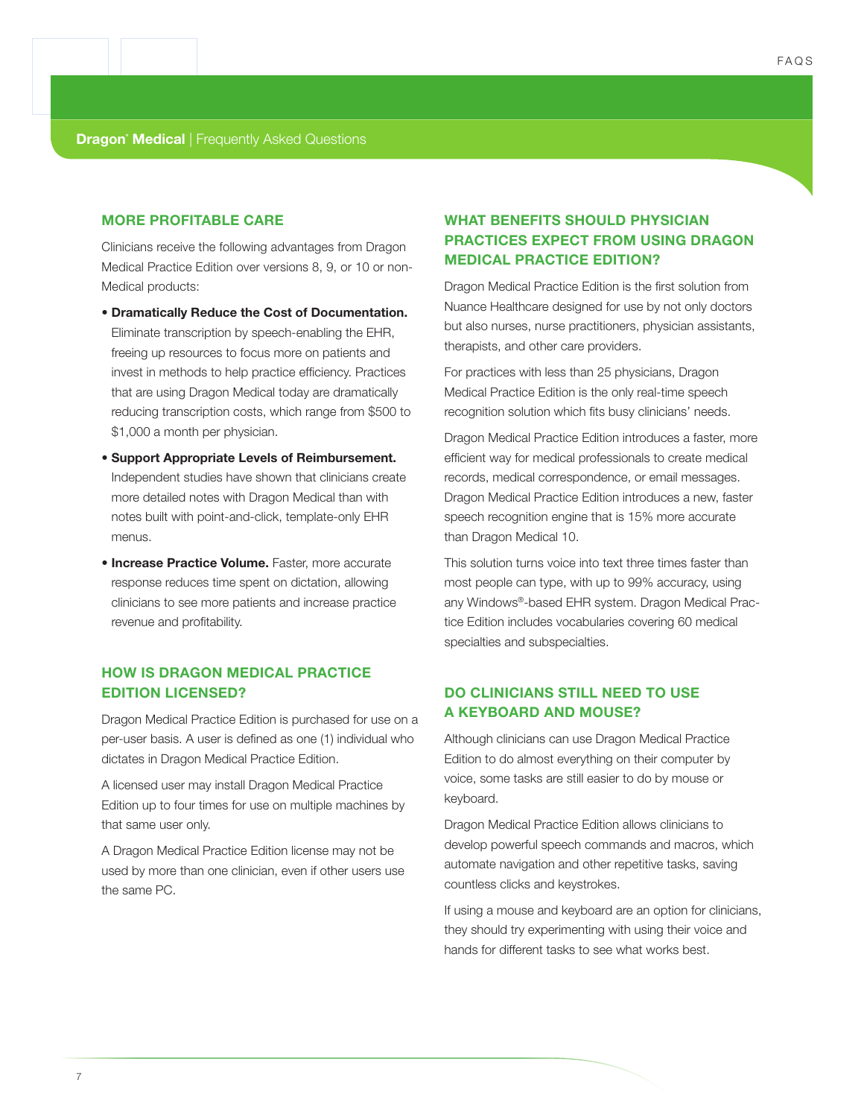#### **MORE PROFITABLE CARE**

Clinicians receive the following advantages from Dragon Medical Practice Edition over versions 8, 9, or 10 or non-Medical products:

- **Dramatically Reduce the Cost of Documentation.**  Eliminate transcription by speech-enabling the EHR, freeing up resources to focus more on patients and invest in methods to help practice efficiency. Practices that are using Dragon Medical today are dramatically reducing transcription costs, which range from \$500 to \$1,000 a month per physician.
- **Support Appropriate Levels of Reimbursement.**  Independent studies have shown that clinicians create more detailed notes with Dragon Medical than with notes built with point-and-click, template-only EHR menus.
- **Increase Practice Volume.** Faster, more accurate response reduces time spent on dictation, allowing clinicians to see more patients and increase practice revenue and profitability.

## **HOW IS DRAGON MEDICAL PRACTICE EDITION LICENSED?**

Dragon Medical Practice Edition is purchased for use on a per-user basis. A user is defined as one (1) individual who dictates in Dragon Medical Practice Edition.

A licensed user may install Dragon Medical Practice Edition up to four times for use on multiple machines by that same user only.

A Dragon Medical Practice Edition license may not be used by more than one clinician, even if other users use the same PC.

## **WHAT BENEFITS SHOULD PHYSICIAN PRACTICES EXPECT FROM USING DRAGON MEDICAL PRACTICE EDITION?**

Dragon Medical Practice Edition is the first solution from Nuance Healthcare designed for use by not only doctors but also nurses, nurse practitioners, physician assistants, therapists, and other care providers.

For practices with less than 25 physicians, Dragon Medical Practice Edition is the only real-time speech recognition solution which fits busy clinicians' needs.

Dragon Medical Practice Edition introduces a faster, more efficient way for medical professionals to create medical records, medical correspondence, or email messages. Dragon Medical Practice Edition introduces a new, faster speech recognition engine that is 15% more accurate than Dragon Medical 10.

This solution turns voice into text three times faster than most people can type, with up to 99% accuracy, using any Windows®-based EHR system. Dragon Medical Practice Edition includes vocabularies covering 60 medical specialties and subspecialties.

## **DO CLINICIANS STILL NEED TO USE A KEYBOARD AND MOUSE?**

Although clinicians can use Dragon Medical Practice Edition to do almost everything on their computer by voice, some tasks are still easier to do by mouse or keyboard.

Dragon Medical Practice Edition allows clinicians to develop powerful speech commands and macros, which automate navigation and other repetitive tasks, saving countless clicks and keystrokes.

If using a mouse and keyboard are an option for clinicians, they should try experimenting with using their voice and hands for different tasks to see what works best.